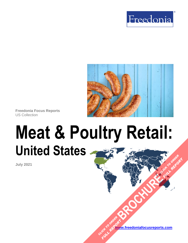



**Freedonia Focus Reports** US Collection

# **Meat & Poultry Retail: United States [BROCHURE](https://www.freedoniafocusreports.com/Meat-Poultry-Retail-United-States-FF10047/?progid=89541) CLICK TO ORDER FULL REPORT**

**July 2021**

**[www.freedoniafocusreports.com](https://www.freedoniafocusreports.com/redirect.asp?progid=89534&url=/)** CLICK TO ORDER **FULL REPORT**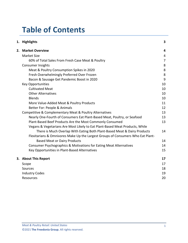# **Table of Contents**

| 1. Highlights                                                                   | 3              |
|---------------------------------------------------------------------------------|----------------|
| 2. Market Overview                                                              | 4              |
| <b>Market Size</b>                                                              | 4              |
| 60% of Total Sales From Fresh Case Meat & Poultry                               | $\overline{7}$ |
| <b>Consumer Insights</b>                                                        | 8              |
| Meat & Poultry Consumption Spikes in 2020                                       | 8              |
| Fresh Overwhelmingly Preferred Over Frozen                                      | 8              |
| Bacon & Sausage Get Pandemic Boost in 2020                                      | 9              |
| <b>Key Opportunities</b>                                                        | 10             |
| <b>Cultivated Meat</b>                                                          | 10             |
| <b>Other Alternatives</b>                                                       | 10             |
| <b>Blends</b>                                                                   | 10             |
| More Value-Added Meat & Poultry Products                                        | 11             |
| Better For: People & Animals                                                    | 12             |
| Competitive & Complementary Meat & Poultry Alternatives                         | 13             |
| Nearly One-Fourth of Consumers Eat Plant-Based Meat, Poultry, or Seafood        | 13             |
| Plant-Based Beef Products Are the Most Commonly Consumed                        | 13             |
| Vegans & Vegetarians Are Most Likely to Eat Plant-Based Meat Products, While    |                |
| There is Much Overlap With Eating Both Plant-Based Meat & Dairy Products        | 14             |
| Flexitarians & Omnivores Make Up the Largest Groups of Consumers Who Eat Plant- |                |
| <b>Based Meat or Dairy Products</b>                                             | 14             |
| Consumer Psychographics & Motivations for Eating Meat Alternatives              | 14             |
| Key Opportunities in Plant-Based Alternatives                                   | 15             |
| 3. About This Report                                                            | 17             |
| Scope                                                                           | 17             |
| Sources                                                                         | 18             |
| <b>Industry Codes</b>                                                           | 19             |
| Resources                                                                       | 20             |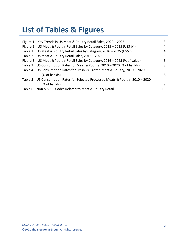# **List of Tables & Figures**

| Figure 1   Key Trends in US Meat & Poultry Retail Sales, 2020 - 2025               | 3  |
|------------------------------------------------------------------------------------|----|
| Figure 2   US Meat & Poultry Retail Sales by Category, 2015 - 2025 (US\$ bil)      | 4  |
| Table 1   US Meat & Poultry Retail Sales by Category, 2016 - 2025 (US\$ mil)       | 4  |
| Table 2   US Meat & Poultry Retail Sales, 2015 - 2025                              | 5  |
| Figure 3   US Meat & Poultry Retail Sales by Category, 2016 - 2025 (% of value)    | 6  |
| Table 3   US Consumption Rates for Meat & Poultry, 2010 - 2020 (% of hshlds)       | 8  |
| Table 4   US Consumption Rates for Fresh vs. Frozen Meat & Poultry, 2010 - 2020    |    |
| (% of hshids)                                                                      | 8  |
| Table 5   US Consumption Rates for Selected Processed Meats & Poultry, 2010 - 2020 |    |
| (% of hshids)                                                                      | 9  |
| Table 6   NAICS & SIC Codes Related to Meat & Poultry Retail                       | 19 |
|                                                                                    |    |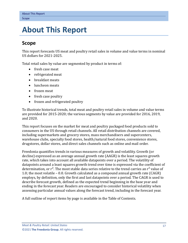# <span id="page-3-0"></span>**3. About This Report**

# <span id="page-3-1"></span>**Scope**

This report forecasts US meat and poultry retail sales in volume and value terms in nominal US dollars for 2021-2025.

Total retail sales by value are segmented by product in terms of:

- fresh case meat
- refrigerated meat
- breakfast meats
- luncheon meats
- frozen meat
- fresh case poultry
- frozen and refrigerated poultry

To illustrate historical trends, total meat and poultry retail sales in volume and value terms are provided for 2015-2020; the various segments by value are provided for 2016, 2019, and 2020.

This report focuses on the market for meat and poultry packaged food products sold to consumers in the US through retail channels. All retail distribution channels are covered, including supermarkets and grocery stores, mass merchandisers and supercenters, warehouse clubs, specialty food stores, health/natural food stores, convenience stores, drugstores, dollar stores, and direct sales channels such as online and mail order.

Freedonia quantifies trends in various measures of growth and volatility. Growth (or decline) expressed as an average annual growth rate (AAGR) is the least squares growth rate, which takes into account all available datapoints over a period. The volatility of datapoints around a least squares growth trend over time is expressed via the coefficient of determination, or  $r^2$ . The most stable data series relative to the trend carries an  $r^2$  value of 1.0; the most volatile – 0.0. Growth calculated as a compound annual growth rate (CAGR) employs, by definition, only the first and last datapoints over a period. The CAGR is used to describe forecast growth, defined as the expected trend beginning in the base year and ending in the forecast year. Readers are encouraged to consider historical volatility when assessing particular annual values along the forecast trend, including in the forecast year.

A full outline of report items by page is available in the Table of Contents.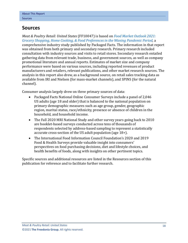# <span id="page-4-0"></span>**Sources**

*Meat & Poultry Retail: United States* (FF10047) is based on *[Food Market Outlook 2021:](https://www.packagedfacts.com/Food-Outlook-Grocery-Shopping-Home-Cooking-Preferences-Waning-Pandemic-Period-14818838/?progid=89534)  [Grocery Shopping, Home Cooking, & Food Preferences in the Waning Pandemic Period,](https://www.packagedfacts.com/Food-Outlook-Grocery-Shopping-Home-Cooking-Preferences-Waning-Pandemic-Period-14818838/?progid=89534)* a comprehensive industry study published by Packaged Facts. The information in that report was obtained from both primary and secondary research. Primary research included consultation with industry sources and visits to retail stores. Secondary research entailed gathering data from relevant trade, business, and government sources, as well as company promotional literature and annual reports. Estimates of market size and company performance were based on various sources, including reported revenues of product manufacturers and retailers, relevant publications, and other market research sources. The analysis in this report also drew, as a background source, on retail sales tracking data as available from IRI and Nielsen (for mass-market channels), and SPINS (for the natural channel).

Consumer analysis largely drew on three primary sources of data:

- Packaged Facts National Online Consumer Surveys include a panel of 2,046 US adults (age 18 and older) that is balanced to the national population on primary demographic measures such as age group, gender, geographic region, marital status, race/ethnicity, presence or absence of children in the household, and household income.
- The Fall 2020 MRI National Study and other survey years going back to 2010 are booklet-based surveys conducted across tens of thousands of respondents selected by address-based sampling to represent a statistically accurate cross-section of the US adult population (age 18+).
- The International Food Information Council Foundation's 2020 and 2019 Food & Health Surveys provide valuable insight into consumers' perspectives on food purchasing decisions, diet and lifestyle choices, and health benefits of foods, along with insights on other pertinent topics.

Specific sources and additional resources are listed in the Resources section of this publication for reference and to facilitate further research.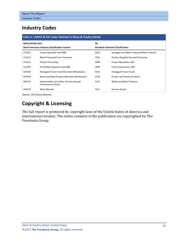# <span id="page-5-0"></span>**Industry Codes**

<span id="page-5-1"></span>

| Table 6   NAICS & SIC Codes Related to Meat & Poultry Retail |                                                               |                                           |                                           |  |  |  |  |
|--------------------------------------------------------------|---------------------------------------------------------------|-------------------------------------------|-------------------------------------------|--|--|--|--|
| NAICS/SCIAN 2017                                             |                                                               | <b>SIC</b>                                |                                           |  |  |  |  |
|                                                              | North American Industry Classification System                 | <b>Standard Industrial Classification</b> |                                           |  |  |  |  |
| 311412                                                       | Frozen Specialty Food Mfg                                     | 2013                                      | Sausages and Other Prepared Meat Products |  |  |  |  |
| 311612                                                       | Meat Processed From Carcasses                                 | 2015                                      | Poultry Slaughtering and Processing       |  |  |  |  |
| 311615                                                       | <b>Poultry Processing</b>                                     | 2038                                      | Frozen Specialties, NEC                   |  |  |  |  |
| 311991                                                       | Perishable Prepared Food Mfg                                  | 2099                                      | Food Preparations, NEC                    |  |  |  |  |
| 424420                                                       | Packaged Frozen Food Merchant Wholesalers                     | 5142                                      | Packaged Frozen Foods                     |  |  |  |  |
| 424470                                                       | Meat and Meat Product Merchant Wholesalers                    | 5144                                      | <b>Poultry and Poultry Products</b>       |  |  |  |  |
| 445110                                                       | Supermarkets and Other Grocery (except<br>Convenience) Stores | 5147                                      | <b>Meats and Meat Products</b>            |  |  |  |  |
| 445210                                                       | <b>Meat Markets</b>                                           | 5411                                      | <b>Grocery Stores</b>                     |  |  |  |  |

Source: US Census Bureau

# **Copyright & Licensing**

The full report is protected by copyright laws of the United States of America and international treaties. The entire contents of the publication are copyrighted by The Freedonia Group.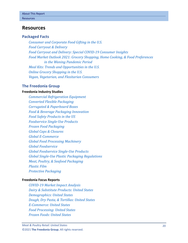## <span id="page-6-0"></span>**Resources**

## **Packaged Facts**

*[Consumer and Corporate Food Gifting in the U.S.](https://www.packagedfacts.com/Consumer-Corporate-Food-Gifting-Edition-13120163/?progid=89534) [Food Carryout & Delivery](https://www.packagedfacts.com/Food-Carryout-Delivery-13207724/?progid=89534) [Food Carryout and Delivery: Special COVID-19 Consumer Insights](https://www.packagedfacts.com/Food-Carryout-Delivery-Special-COVID-Consumer-Insights-13284809/?progid=89534) [Food Market Outlook 2021: Grocery Shopping, Home Cooking, & Food Preferences](https://www.packagedfacts.com/Food-Outlook-Grocery-Shopping-Home-Cooking-Preferences-Waning-Pandemic-Period-14818838/?progid=89534)  [in the Waning Pandemic Period](https://www.packagedfacts.com/Food-Outlook-Grocery-Shopping-Home-Cooking-Preferences-Waning-Pandemic-Period-14818838/?progid=89534) [Meal Kits: Trends and Opportunities in the U.S.](https://www.packagedfacts.com/Meal-Kits-Trend-Opportunities-Editon-11984597/?progid=89534) [Online Grocery Shopping in the U.S.](https://www.packagedfacts.com/Online-Grocery-Shopping-Edition-11920668/?progid=89534) [Vegan, Vegetarian, and Flexitarian Consumers](https://www.packagedfacts.com/Vegan-Vegetarian-Flexitarian-Consumers-13656739/?progid=89534)*

### **The Freedonia Group**

#### **[Freedonia Industry Studies](http://www.freedoniagroup.com/Home.aspx?ReferrerId=FL-Focus)**

*[Commercial Refrigeration Equipment](http://www.freedoniagroup.com/DocumentDetails.aspx?ReferrerId=FL-FOCUS&studyid=3831) [Converted Flexible Packaging](http://www.freedoniagroup.com/DocumentDetails.aspx?ReferrerId=FL-FOCUS&studyid=3731) [Corrugated & Paperboard Boxes](http://www.freedoniagroup.com/DocumentDetails.aspx?ReferrerId=FL-FOCUS&studyid=3686) [Food & Beverage Packaging Innovation](http://www.freedoniagroup.com/DocumentDetails.aspx?ReferrerId=FL-FOCUS&studyid=3736) [Food Safety Products in the US](http://www.freedoniagroup.com/DocumentDetails.aspx?ReferrerId=FL-FOCUS&studyid=3613) [Foodservice Single-Use Products](http://www.freedoniagroup.com/DocumentDetails.aspx?ReferrerId=FL-FOCUS&studyid=3774) [Frozen Food Packaging](http://www.freedoniagroup.com/DocumentDetails.aspx?ReferrerId=FL-FOCUS&studyid=3966) [Global Caps & Closures](http://www.freedoniagroup.com/DocumentDetails.aspx?ReferrerId=FL-FOCUS&studyid=4045) [Global E-Commerce](http://www.freedoniagroup.com/DocumentDetails.aspx?ReferrerId=FL-FOCUS&studyid=3724) [Global Food Processing Machinery](http://www.freedoniagroup.com/DocumentDetails.aspx?ReferrerId=FL-FOCUS&studyid=3809) [Global Foodservice](http://www.freedoniagroup.com/DocumentDetails.aspx?ReferrerId=FL-FOCUS&studyid=3817) [Global Foodservice Single-Use Products](http://www.freedoniagroup.com/DocumentDetails.aspx?ReferrerId=FL-FOCUS&studyid=3829) [Global Single-Use Plastic Packaging Regulations](https://www.freedoniagroup.com/DocumentDetails.aspx?ReferrerId=FL-FOCUS&StudyId=3812) [Meat, Poultry, & Seafood Packaging](http://www.freedoniagroup.com/DocumentDetails.aspx?ReferrerId=FL-FOCUS&studyid=3787) [Plastic Film](http://www.freedoniagroup.com/DocumentDetails.aspx?ReferrerId=FL-FOCUS&studyid=3819) [Protective Packaging](http://www.freedoniagroup.com/DocumentDetails.aspx?ReferrerId=FL-FOCUS&studyid=3797)*

#### **[Freedonia Focus Reports](https://www.freedoniafocusreports.com/redirect.asp?progid=89534&url=/)**

*[COVID-19 Market Impact Analysis](https://www.freedoniafocusreports.com/COVID-19-Market-Impact-Analysis-FW95079/?progid=89534) [Dairy & Substitute Products: United States](https://www.freedoniafocusreports.com/Dairy-Products-United-States-FF10013/?progid=89534) [Demographics: United States](https://www.freedoniafocusreports.com/Demographics-United-States-FF95050/?progid=89534) [Dough, Dry Pasta, & Tortillas: United States](https://www.freedoniafocusreports.com/Dough-Dry-Pasta-Tortillas-United-States-FF10055/?progid=89534) [E-Commerce: United States](https://www.freedoniafocusreports.com/E-Commerce-United-States-FF90043/?progid=89534) [Food Processing: United States](https://www.freedoniafocusreports.com/Food-Processing-United-States-FF10024/?progid=89534) [Frozen Foods: United States](https://www.freedoniafocusreports.com/Frozen-Foods-United-States-FF10015/?progid=89534)*